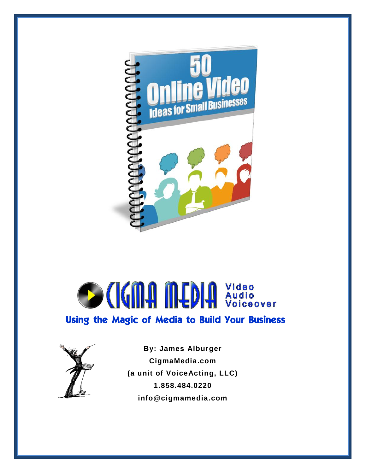

# **SCIGNA MEDIA** Video Using the Magic of Media to Build Your Business



**By: James Alburger CigmaMedia.com (a unit of VoiceActing, LLC) 1.858.484.0220 info@cigmamedia.com**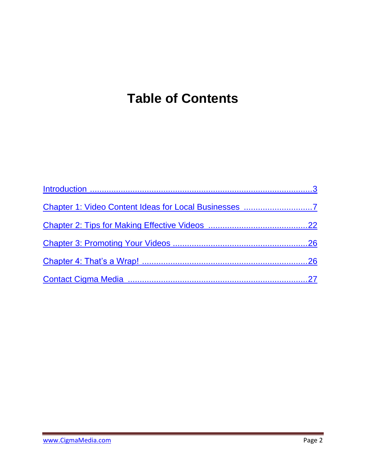## <span id="page-1-0"></span>**Table of Contents**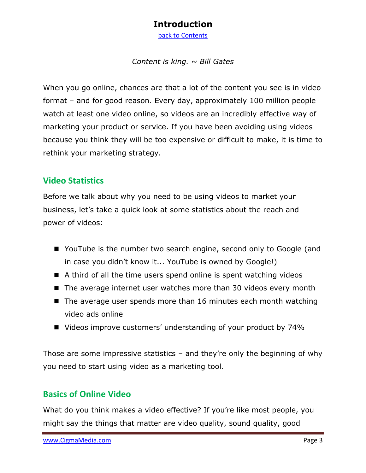#### **Introduction**

[back to Contents](#page-1-0)

#### *Content is king. ~ Bill Gates*

<span id="page-2-0"></span>When you go online, chances are that a lot of the content you see is in video format – and for good reason. Every day, approximately 100 million people watch at least one video online, so videos are an incredibly effective way of marketing your product or service. If you have been avoiding using videos because you think they will be too expensive or difficult to make, it is time to rethink your marketing strategy.

#### **Video Statistics**

Before we talk about why you need to be using videos to market your business, let's take a quick look at some statistics about the reach and power of videos:

- YouTube is the number two search engine, second only to Google (and in case you didn't know it... YouTube is owned by Google!)
- $\blacksquare$  A third of all the time users spend online is spent watching videos
- The average internet user watches more than 30 videos every month
- $\blacksquare$  The average user spends more than 16 minutes each month watching video ads online
- Videos improve customers' understanding of your product by 74%

Those are some impressive statistics – and they're only the beginning of why you need to start using video as a marketing tool.

#### **Basics of Online Video**

What do you think makes a video effective? If you're like most people, you might say the things that matter are video quality, sound quality, good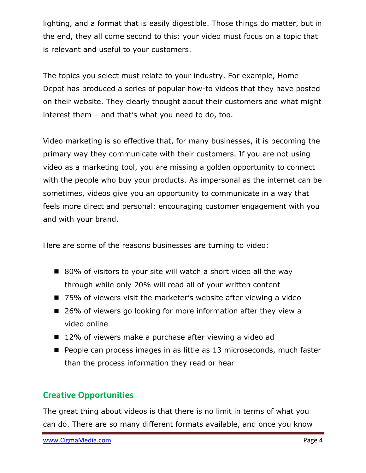lighting, and a format that is easily digestible. Those things do matter, but in the end, they all come second to this: your video must focus on a topic that is relevant and useful to your customers.

The topics you select must relate to your industry. For example, Home Depot has produced a series of popular how-to videos that they have posted on their website. They clearly thought about their customers and what might interest them – and that's what you need to do, too.

Video marketing is so effective that, for many businesses, it is becoming the primary way they communicate with their customers. If you are not using video as a marketing tool, you are missing a golden opportunity to connect with the people who buy your products. As impersonal as the internet can be sometimes, videos give you an opportunity to communicate in a way that feels more direct and personal; encouraging customer engagement with you and with your brand.

Here are some of the reasons businesses are turning to video:

- 80% of visitors to your site will watch a short video all the way through while only 20% will read all of your written content
- 75% of viewers visit the marketer's website after viewing a video
- 26% of viewers go looking for more information after they view a video online
- 12% of viewers make a purchase after viewing a video ad
- People can process images in as little as 13 microseconds, much faster than the process information they read or hear

#### **Creative Opportunities**

The great thing about videos is that there is no limit in terms of what you can do. There are so many different formats available, and once you know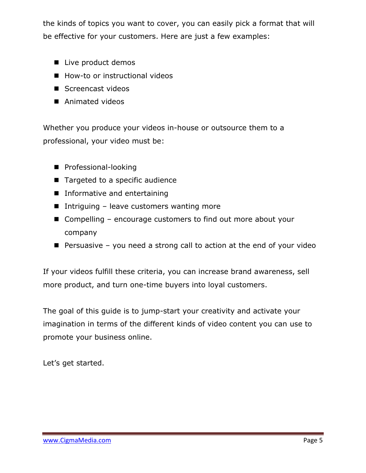the kinds of topics you want to cover, you can easily pick a format that will be effective for your customers. Here are just a few examples:

- Live product demos
- How-to or instructional videos
- Screencast videos
- Animated videos

Whether you produce your videos in-house or outsource them to a professional, your video must be:

- **Professional-looking**
- Targeted to a specific audience
- **Informative and entertaining**
- Intriguing leave customers wanting more
- Compelling encourage customers to find out more about your company
- **Persuasive you need a strong call to action at the end of your video**

If your videos fulfill these criteria, you can increase brand awareness, sell more product, and turn one-time buyers into loyal customers.

The goal of this guide is to jump-start your creativity and activate your imagination in terms of the different kinds of video content you can use to promote your business online.

Let's get started.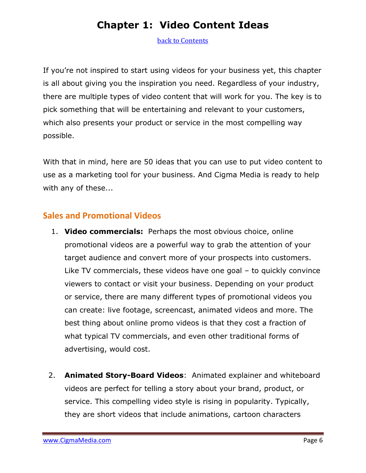## **Chapter 1: Video Content Ideas**

<span id="page-5-0"></span>[back to Contents](#page-1-0)

If you're not inspired to start using videos for your business yet, this chapter is all about giving you the inspiration you need. Regardless of your industry, there are multiple types of video content that will work for you. The key is to pick something that will be entertaining and relevant to your customers, which also presents your product or service in the most compelling way possible.

With that in mind, here are 50 ideas that you can use to put video content to use as a marketing tool for your business. And Cigma Media is ready to help with any of these...

#### **Sales and Promotional Videos**

- 1. **Video commercials:** Perhaps the most obvious choice, online promotional videos are a powerful way to grab the attention of your target audience and convert more of your prospects into customers. Like TV commercials, these videos have one goal – to quickly convince viewers to contact or visit your business. Depending on your product or service, there are many different types of promotional videos you can create: live footage, screencast, animated videos and more. The best thing about online promo videos is that they cost a fraction of what typical TV commercials, and even other traditional forms of advertising, would cost.
- 2. **Animated Story-Board Videos**: Animated explainer and whiteboard videos are perfect for telling a story about your brand, product, or service. This compelling video style is rising in popularity. Typically, they are short videos that include animations, cartoon characters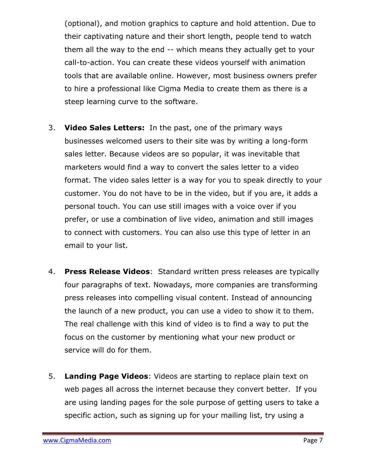(optional), and motion graphics to capture and hold attention. Due to their captivating nature and their short length, people tend to watch them all the way to the end -- which means they actually get to your call-to-action. You can create these videos yourself with animation tools that are available online. However, most business owners prefer to hire a professional like Cigma Media to create them as there is a steep learning curve to the software.

- 3. **Video Sales Letters:** In the past, one of the primary ways businesses welcomed users to their site was by writing a long-form sales letter. Because videos are so popular, it was inevitable that marketers would find a way to convert the sales letter to a video format. The video sales letter is a way for you to speak directly to your customer. You do not have to be in the video, but if you are, it adds a personal touch. You can use still images with a voice over if you prefer, or use a combination of live video, animation and still images to connect with customers. You can also use this type of letter in an email to your list.
- 4. **Press Release Videos**: Standard written press releases are typically four paragraphs of text. Nowadays, more companies are transforming press releases into compelling visual content. Instead of announcing the launch of a new product, you can use a video to show it to them. The real challenge with this kind of video is to find a way to put the focus on the customer by mentioning what your new product or service will do for them.
- 5. **Landing Page Videos**: Videos are starting to replace plain text on web pages all across the internet because they convert better. If you are using landing pages for the sole purpose of getting users to take a specific action, such as signing up for your mailing list, try using a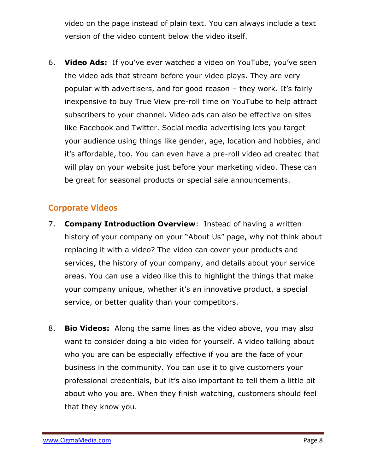video on the page instead of plain text. You can always include a text version of the video content below the video itself.

6. **Video Ads:** If you've ever watched a video on YouTube, you've seen the video ads that stream before your video plays. They are very popular with advertisers, and for good reason – they work. It's fairly inexpensive to buy True View pre-roll time on YouTube to help attract subscribers to your channel. Video ads can also be effective on sites like Facebook and Twitter. Social media advertising lets you target your audience using things like gender, age, location and hobbies, and it's affordable, too. You can even have a pre-roll video ad created that will play on your website just before your marketing video. These can be great for seasonal products or special sale announcements.

#### **Corporate Videos**

- 7. **Company Introduction Overview**: Instead of having a written history of your company on your "About Us" page, why not think about replacing it with a video? The video can cover your products and services, the history of your company, and details about your service areas. You can use a video like this to highlight the things that make your company unique, whether it's an innovative product, a special service, or better quality than your competitors.
- 8. **Bio Videos:** Along the same lines as the video above, you may also want to consider doing a bio video for yourself. A video talking about who you are can be especially effective if you are the face of your business in the community. You can use it to give customers your professional credentials, but it's also important to tell them a little bit about who you are. When they finish watching, customers should feel that they know you.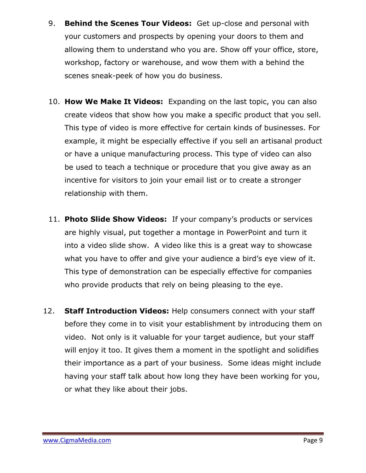- 9. **Behind the Scenes Tour Videos:** Get up-close and personal with your customers and prospects by opening your doors to them and allowing them to understand who you are. Show off your office, store, workshop, factory or warehouse, and wow them with a behind the scenes sneak-peek of how you do business.
- 10. **How We Make It Videos:** Expanding on the last topic, you can also create videos that show how you make a specific product that you sell. This type of video is more effective for certain kinds of businesses. For example, it might be especially effective if you sell an artisanal product or have a unique manufacturing process. This type of video can also be used to teach a technique or procedure that you give away as an incentive for visitors to join your email list or to create a stronger relationship with them.
- 11. **Photo Slide Show Videos:** If your company's products or services are highly visual, put together a montage in PowerPoint and turn it into a video slide show. A video like this is a great way to showcase what you have to offer and give your audience a bird's eye view of it. This type of demonstration can be especially effective for companies who provide products that rely on being pleasing to the eye.
- 12. **Staff Introduction Videos:** Help consumers connect with your staff before they come in to visit your establishment by introducing them on video. Not only is it valuable for your target audience, but your staff will enjoy it too. It gives them a moment in the spotlight and solidifies their importance as a part of your business. Some ideas might include having your staff talk about how long they have been working for you, or what they like about their jobs.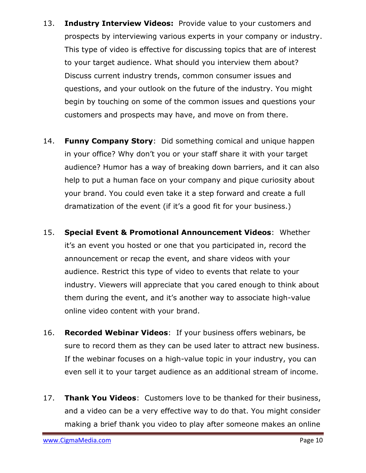- 13. **Industry Interview Videos:** Provide value to your customers and prospects by interviewing various experts in your company or industry. This type of video is effective for discussing topics that are of interest to your target audience. What should you interview them about? Discuss current industry trends, common consumer issues and questions, and your outlook on the future of the industry. You might begin by touching on some of the common issues and questions your customers and prospects may have, and move on from there.
- 14. **Funny Company Story**: Did something comical and unique happen in your office? Why don't you or your staff share it with your target audience? Humor has a way of breaking down barriers, and it can also help to put a human face on your company and pique curiosity about your brand. You could even take it a step forward and create a full dramatization of the event (if it's a good fit for your business.)
- 15. **Special Event & Promotional Announcement Videos**: Whether it's an event you hosted or one that you participated in, record the announcement or recap the event, and share videos with your audience. Restrict this type of video to events that relate to your industry. Viewers will appreciate that you cared enough to think about them during the event, and it's another way to associate high-value online video content with your brand.
- 16. **Recorded Webinar Videos**: If your business offers webinars, be sure to record them as they can be used later to attract new business. If the webinar focuses on a high-value topic in your industry, you can even sell it to your target audience as an additional stream of income.
- 17. **Thank You Videos**: Customers love to be thanked for their business, and a video can be a very effective way to do that. You might consider making a brief thank you video to play after someone makes an online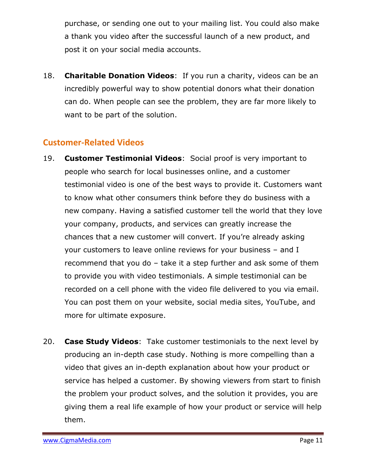purchase, or sending one out to your mailing list. You could also make a thank you video after the successful launch of a new product, and post it on your social media accounts.

18. **Charitable Donation Videos**: If you run a charity, videos can be an incredibly powerful way to show potential donors what their donation can do. When people can see the problem, they are far more likely to want to be part of the solution.

#### **Customer-Related Videos**

- 19. **Customer Testimonial Videos**: Social proof is very important to people who search for local businesses online, and a customer testimonial video is one of the best ways to provide it. Customers want to know what other consumers think before they do business with a new company. Having a satisfied customer tell the world that they love your company, products, and services can greatly increase the chances that a new customer will convert. If you're already asking your customers to leave online reviews for your business – and I recommend that you do – take it a step further and ask some of them to provide you with video testimonials. A simple testimonial can be recorded on a cell phone with the video file delivered to you via email. You can post them on your website, social media sites, YouTube, and more for ultimate exposure.
- 20. **Case Study Videos**: Take customer testimonials to the next level by producing an in-depth case study. Nothing is more compelling than a video that gives an in-depth explanation about how your product or service has helped a customer. By showing viewers from start to finish the problem your product solves, and the solution it provides, you are giving them a real life example of how your product or service will help them.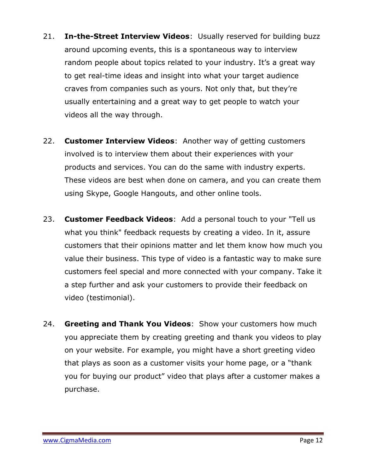- 21. **In-the-Street Interview Videos**: Usually reserved for building buzz around upcoming events, this is a spontaneous way to interview random people about topics related to your industry. It's a great way to get real-time ideas and insight into what your target audience craves from companies such as yours. Not only that, but they're usually entertaining and a great way to get people to watch your videos all the way through.
- 22. **Customer Interview Videos**: Another way of getting customers involved is to interview them about their experiences with your products and services. You can do the same with industry experts. These videos are best when done on camera, and you can create them using Skype, Google Hangouts, and other online tools.
- 23. **Customer Feedback Videos**: Add a personal touch to your "Tell us what you think" feedback requests by creating a video. In it, assure customers that their opinions matter and let them know how much you value their business. This type of video is a fantastic way to make sure customers feel special and more connected with your company. Take it a step further and ask your customers to provide their feedback on video (testimonial).
- 24. **Greeting and Thank You Videos**: Show your customers how much you appreciate them by creating greeting and thank you videos to play on your website. For example, you might have a short greeting video that plays as soon as a customer visits your home page, or a "thank you for buying our product" video that plays after a customer makes a purchase.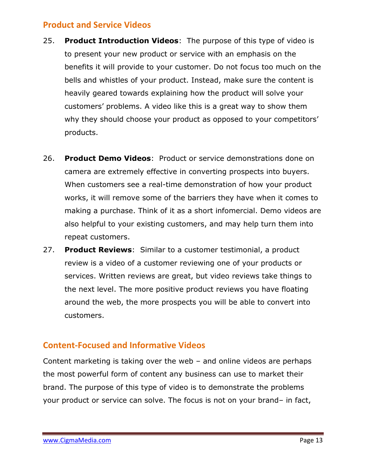#### **Product and Service Videos**

- 25. **Product Introduction Videos**: The purpose of this type of video is to present your new product or service with an emphasis on the benefits it will provide to your customer. Do not focus too much on the bells and whistles of your product. Instead, make sure the content is heavily geared towards explaining how the product will solve your customers' problems. A video like this is a great way to show them why they should choose your product as opposed to your competitors' products.
- 26. **Product Demo Videos**: Product or service demonstrations done on camera are extremely effective in converting prospects into buyers. When customers see a real-time demonstration of how your product works, it will remove some of the barriers they have when it comes to making a purchase. Think of it as a short infomercial. Demo videos are also helpful to your existing customers, and may help turn them into repeat customers.
- 27. **Product Reviews**: Similar to a customer testimonial, a product review is a video of a customer reviewing one of your products or services. Written reviews are great, but video reviews take things to the next level. The more positive product reviews you have floating around the web, the more prospects you will be able to convert into customers.

#### **Content-Focused and Informative Videos**

Content marketing is taking over the web – and online videos are perhaps the most powerful form of content any business can use to market their brand. The purpose of this type of video is to demonstrate the problems your product or service can solve. The focus is not on your brand– in fact,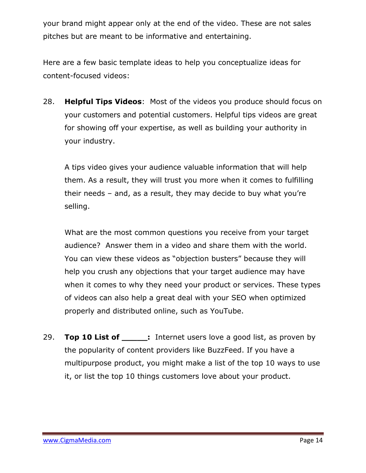your brand might appear only at the end of the video. These are not sales pitches but are meant to be informative and entertaining.

Here are a few basic template ideas to help you conceptualize ideas for content-focused videos:

28. **Helpful Tips Videos**: Most of the videos you produce should focus on your customers and potential customers. Helpful tips videos are great for showing off your expertise, as well as building your authority in your industry.

A tips video gives your audience valuable information that will help them. As a result, they will trust you more when it comes to fulfilling their needs – and, as a result, they may decide to buy what you're selling.

What are the most common questions you receive from your target audience? Answer them in a video and share them with the world. You can view these videos as "objection busters" because they will help you crush any objections that your target audience may have when it comes to why they need your product or services. These types of videos can also help a great deal with your SEO when optimized properly and distributed online, such as YouTube.

29. **Top 10 List of :** Internet users love a good list, as proven by the popularity of content providers like BuzzFeed. If you have a multipurpose product, you might make a list of the top 10 ways to use it, or list the top 10 things customers love about your product.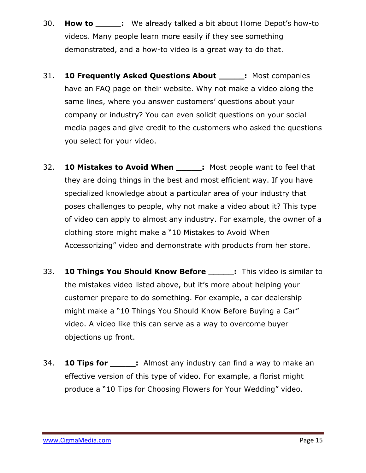- 30. **How to \_\_\_\_\_:** We already talked a bit about Home Depot's how-to videos. Many people learn more easily if they see something demonstrated, and a how-to video is a great way to do that.
- 31. **10 Frequently Asked Questions About \_\_\_\_\_:** Most companies have an FAQ page on their website. Why not make a video along the same lines, where you answer customers' questions about your company or industry? You can even solicit questions on your social media pages and give credit to the customers who asked the questions you select for your video.
- 32. **10 Mistakes to Avoid When \_\_\_\_\_:** Most people want to feel that they are doing things in the best and most efficient way. If you have specialized knowledge about a particular area of your industry that poses challenges to people, why not make a video about it? This type of video can apply to almost any industry. For example, the owner of a clothing store might make a "10 Mistakes to Avoid When Accessorizing" video and demonstrate with products from her store.
- 33. **10 Things You Should Know Before \_\_\_\_\_:** This video is similar to the mistakes video listed above, but it's more about helping your customer prepare to do something. For example, a car dealership might make a "10 Things You Should Know Before Buying a Car" video. A video like this can serve as a way to overcome buyer objections up front.
- 34. **10 Tips for \_\_\_\_\_:** Almost any industry can find a way to make an effective version of this type of video. For example, a florist might produce a "10 Tips for Choosing Flowers for Your Wedding" video.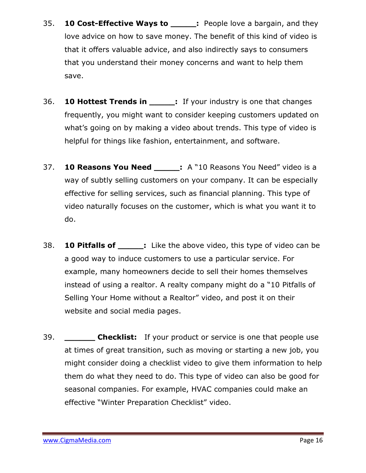- 35. **10 Cost-Effective Ways to :** People love a bargain, and they love advice on how to save money. The benefit of this kind of video is that it offers valuable advice, and also indirectly says to consumers that you understand their money concerns and want to help them save.
- 36. **10 Hottest Trends in \_\_\_\_\_:** If your industry is one that changes frequently, you might want to consider keeping customers updated on what's going on by making a video about trends. This type of video is helpful for things like fashion, entertainment, and software.
- 37. **10 Reasons You Need \_\_\_\_\_:** A "10 Reasons You Need" video is a way of subtly selling customers on your company. It can be especially effective for selling services, such as financial planning. This type of video naturally focuses on the customer, which is what you want it to do.
- 38. **10 Pitfalls of \_\_\_\_\_:** Like the above video, this type of video can be a good way to induce customers to use a particular service. For example, many homeowners decide to sell their homes themselves instead of using a realtor. A realty company might do a "10 Pitfalls of Selling Your Home without a Realtor" video, and post it on their website and social media pages.
- 39. **\_\_\_\_\_\_ Checklist:** If your product or service is one that people use at times of great transition, such as moving or starting a new job, you might consider doing a checklist video to give them information to help them do what they need to do. This type of video can also be good for seasonal companies. For example, HVAC companies could make an effective "Winter Preparation Checklist" video.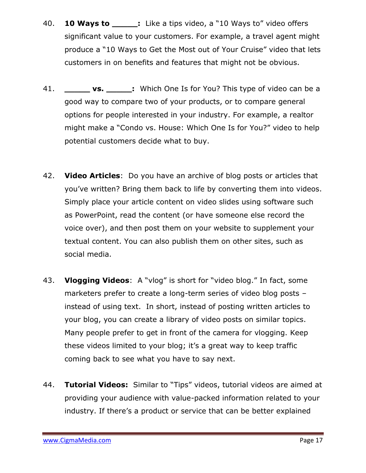- 40. **10 Ways to \_\_\_\_\_:** Like a tips video, a "10 Ways to" video offers significant value to your customers. For example, a travel agent might produce a "10 Ways to Get the Most out of Your Cruise" video that lets customers in on benefits and features that might not be obvious.
- 41. **vs. :** Which One Is for You? This type of video can be a good way to compare two of your products, or to compare general options for people interested in your industry. For example, a realtor might make a "Condo vs. House: Which One Is for You?" video to help potential customers decide what to buy.
- 42. **Video Articles**: Do you have an archive of blog posts or articles that you've written? Bring them back to life by converting them into videos. Simply place your article content on video slides using software such as PowerPoint, read the content (or have someone else record the voice over), and then post them on your website to supplement your textual content. You can also publish them on other sites, such as social media.
- 43. **Vlogging Videos**: A "vlog" is short for "video blog." In fact, some marketers prefer to create a long-term series of video blog posts – instead of using text. In short, instead of posting written articles to your blog, you can create a library of video posts on similar topics. Many people prefer to get in front of the camera for vlogging. Keep these videos limited to your blog; it's a great way to keep traffic coming back to see what you have to say next.
- 44. **Tutorial Videos:** Similar to "Tips" videos, tutorial videos are aimed at providing your audience with value-packed information related to your industry. If there's a product or service that can be better explained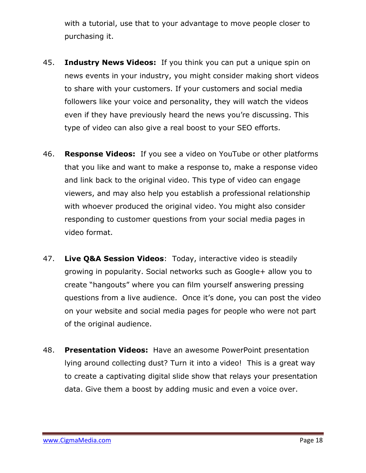with a tutorial, use that to your advantage to move people closer to purchasing it.

- 45. **Industry News Videos:** If you think you can put a unique spin on news events in your industry, you might consider making short videos to share with your customers. If your customers and social media followers like your voice and personality, they will watch the videos even if they have previously heard the news you're discussing. This type of video can also give a real boost to your SEO efforts.
- 46. **Response Videos:** If you see a video on YouTube or other platforms that you like and want to make a response to, make a response video and link back to the original video. This type of video can engage viewers, and may also help you establish a professional relationship with whoever produced the original video. You might also consider responding to customer questions from your social media pages in video format.
- 47. **Live Q&A Session Videos**: Today, interactive video is steadily growing in popularity. Social networks such as Google+ allow you to create "hangouts" where you can film yourself answering pressing questions from a live audience. Once it's done, you can post the video on your website and social media pages for people who were not part of the original audience.
- 48. **Presentation Videos:** Have an awesome PowerPoint presentation lying around collecting dust? Turn it into a video! This is a great way to create a captivating digital slide show that relays your presentation data. Give them a boost by adding music and even a voice over.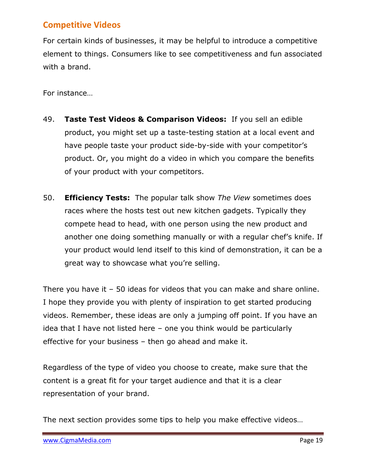#### **Competitive Videos**

For certain kinds of businesses, it may be helpful to introduce a competitive element to things. Consumers like to see competitiveness and fun associated with a brand.

For instance…

- 49. **Taste Test Videos & Comparison Videos:** If you sell an edible product, you might set up a taste-testing station at a local event and have people taste your product side-by-side with your competitor's product. Or, you might do a video in which you compare the benefits of your product with your competitors.
- 50. **Efficiency Tests:** The popular talk show *The View* sometimes does races where the hosts test out new kitchen gadgets. Typically they compete head to head, with one person using the new product and another one doing something manually or with a regular chef's knife. If your product would lend itself to this kind of demonstration, it can be a great way to showcase what you're selling.

There you have it – 50 ideas for videos that you can make and share online. I hope they provide you with plenty of inspiration to get started producing videos. Remember, these ideas are only a jumping off point. If you have an idea that I have not listed here – one you think would be particularly effective for your business – then go ahead and make it.

Regardless of the type of video you choose to create, make sure that the content is a great fit for your target audience and that it is a clear representation of your brand.

The next section provides some tips to help you make effective videos…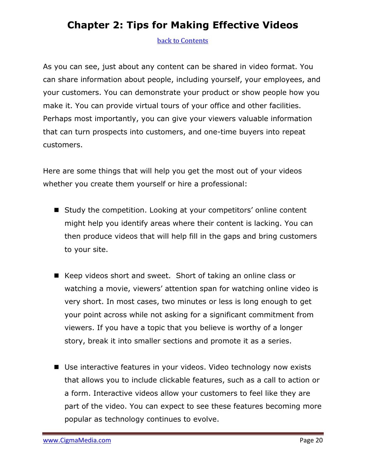## **Chapter 2: Tips for Making Effective Videos**

#### <span id="page-19-0"></span>back [to Contents](#page-1-0)

As you can see, just about any content can be shared in video format. You can share information about people, including yourself, your employees, and your customers. You can demonstrate your product or show people how you make it. You can provide virtual tours of your office and other facilities. Perhaps most importantly, you can give your viewers valuable information that can turn prospects into customers, and one-time buyers into repeat customers.

Here are some things that will help you get the most out of your videos whether you create them yourself or hire a professional:

- Study the competition. Looking at your competitors' online content might help you identify areas where their content is lacking. You can then produce videos that will help fill in the gaps and bring customers to your site.
- Keep videos short and sweet. Short of taking an online class or watching a movie, viewers' attention span for watching online video is very short. In most cases, two minutes or less is long enough to get your point across while not asking for a significant commitment from viewers. If you have a topic that you believe is worthy of a longer story, break it into smaller sections and promote it as a series.
- Use interactive features in your videos. Video technology now exists that allows you to include clickable features, such as a call to action or a form. Interactive videos allow your customers to feel like they are part of the video. You can expect to see these features becoming more popular as technology continues to evolve.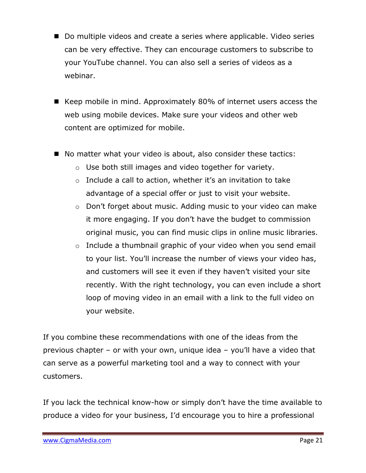- Do multiple videos and create a series where applicable. Video series can be very effective. They can encourage customers to subscribe to your YouTube channel. You can also sell a series of videos as a webinar.
- Keep mobile in mind. Approximately 80% of internet users access the web using mobile devices. Make sure your videos and other web content are optimized for mobile.
- No matter what your video is about, also consider these tactics:
	- o Use both still images and video together for variety.
	- $\circ$  Include a call to action, whether it's an invitation to take advantage of a special offer or just to visit your website.
	- o Don't forget about music. Adding music to your video can make it more engaging. If you don't have the budget to commission original music, you can find music clips in online music libraries.
	- o Include a thumbnail graphic of your video when you send email to your list. You'll increase the number of views your video has, and customers will see it even if they haven't visited your site recently. With the right technology, you can even include a short loop of moving video in an email with a link to the full video on your website.

If you combine these recommendations with one of the ideas from the previous chapter – or with your own, unique idea – you'll have a video that can serve as a powerful marketing tool and a way to connect with your customers.

If you lack the technical know-how or simply don't have the time available to produce a video for your business, I'd encourage you to hire a professional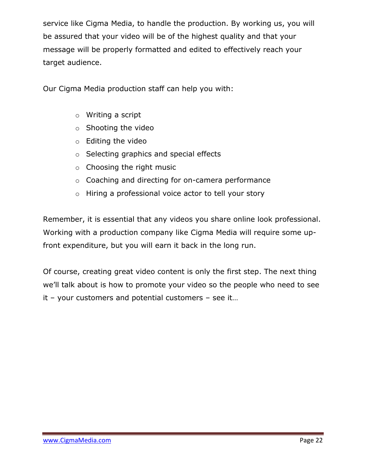service like Cigma Media, to handle the production. By working us, you will be assured that your video will be of the highest quality and that your message will be properly formatted and edited to effectively reach your target audience.

Our Cigma Media production staff can help you with:

- o Writing a script
- o Shooting the video
- o Editing the video
- o Selecting graphics and special effects
- o Choosing the right music
- o Coaching and directing for on-camera performance
- o Hiring a professional voice actor to tell your story

Remember, it is essential that any videos you share online look professional. Working with a production company like Cigma Media will require some upfront expenditure, but you will earn it back in the long run.

Of course, creating great video content is only the first step. The next thing we'll talk about is how to promote your video so the people who need to see it – your customers and potential customers – see it…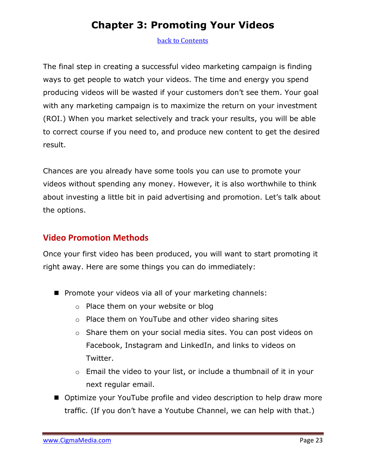## **Chapter 3: Promoting Your Videos**

#### <span id="page-22-0"></span>[back to Contents](#page-1-0)

The final step in creating a successful video marketing campaign is finding ways to get people to watch your videos. The time and energy you spend producing videos will be wasted if your customers don't see them. Your goal with any marketing campaign is to maximize the return on your investment (ROI.) When you market selectively and track your results, you will be able to correct course if you need to, and produce new content to get the desired result.

Chances are you already have some tools you can use to promote your videos without spending any money. However, it is also worthwhile to think about investing a little bit in paid advertising and promotion. Let's talk about the options.

#### **Video Promotion Methods**

Once your first video has been produced, you will want to start promoting it right away. Here are some things you can do immediately:

- **Promote your videos via all of your marketing channels:** 
	- o Place them on your website or blog
	- o Place them on YouTube and other video sharing sites
	- o Share them on your social media sites. You can post videos on Facebook, Instagram and LinkedIn, and links to videos on Twitter.
	- o Email the video to your list, or include a thumbnail of it in your next regular email.
- Optimize your YouTube profile and video description to help draw more traffic. (If you don't have a Youtube Channel, we can help with that.)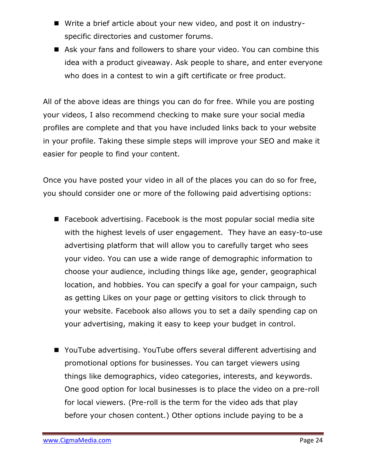- Write a brief article about your new video, and post it on industryspecific directories and customer forums.
- Ask your fans and followers to share your video. You can combine this idea with a product giveaway. Ask people to share, and enter everyone who does in a contest to win a gift certificate or free product.

All of the above ideas are things you can do for free. While you are posting your videos, I also recommend checking to make sure your social media profiles are complete and that you have included links back to your website in your profile. Taking these simple steps will improve your SEO and make it easier for people to find your content.

Once you have posted your video in all of the places you can do so for free, you should consider one or more of the following paid advertising options:

- Facebook advertising. Facebook is the most popular social media site with the highest levels of user engagement. They have an easy-to-use advertising platform that will allow you to carefully target who sees your video. You can use a wide range of demographic information to choose your audience, including things like age, gender, geographical location, and hobbies. You can specify a goal for your campaign, such as getting Likes on your page or getting visitors to click through to your website. Facebook also allows you to set a daily spending cap on your advertising, making it easy to keep your budget in control.
- YouTube advertising. YouTube offers several different advertising and promotional options for businesses. You can target viewers using things like demographics, video categories, interests, and keywords. One good option for local businesses is to place the video on a pre-roll for local viewers. (Pre-roll is the term for the video ads that play before your chosen content.) Other options include paying to be a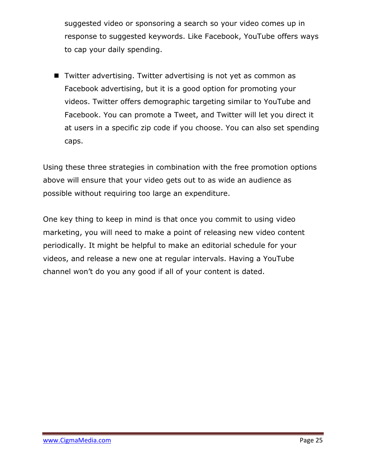suggested video or sponsoring a search so your video comes up in response to suggested keywords. Like Facebook, YouTube offers ways to cap your daily spending.

■ Twitter advertising. Twitter advertising is not yet as common as Facebook advertising, but it is a good option for promoting your videos. Twitter offers demographic targeting similar to YouTube and Facebook. You can promote a Tweet, and Twitter will let you direct it at users in a specific zip code if you choose. You can also set spending caps.

Using these three strategies in combination with the free promotion options above will ensure that your video gets out to as wide an audience as possible without requiring too large an expenditure.

One key thing to keep in mind is that once you commit to using video marketing, you will need to make a point of releasing new video content periodically. It might be helpful to make an editorial schedule for your videos, and release a new one at regular intervals. Having a YouTube channel won't do you any good if all of your content is dated.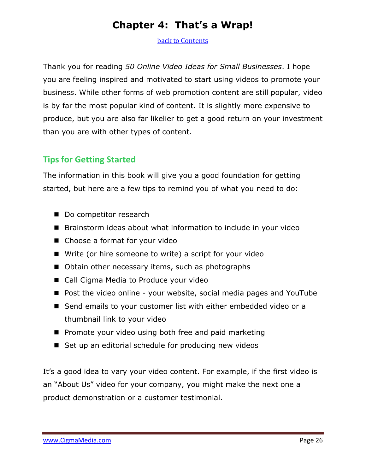### **Chapter 4: That's a Wrap!**

<span id="page-25-0"></span>[back to Contents](#page-1-0)

Thank you for reading *50 Online Video Ideas for Small Businesses*. I hope you are feeling inspired and motivated to start using videos to promote your business. While other forms of web promotion content are still popular, video is by far the most popular kind of content. It is slightly more expensive to produce, but you are also far likelier to get a good return on your investment than you are with other types of content.

#### **Tips for Getting Started**

The information in this book will give you a good foundation for getting started, but here are a few tips to remind you of what you need to do:

- Do competitor research
- Brainstorm ideas about what information to include in your video
- Choose a format for your video
- Write (or hire someone to write) a script for your video
- Obtain other necessary items, such as photographs
- Call Cigma Media to Produce your video
- Post the video online your website, social media pages and YouTube
- Send emails to your customer list with either embedded video or a thumbnail link to your video
- $\blacksquare$  Promote your video using both free and paid marketing
- Set up an editorial schedule for producing new videos

It's a good idea to vary your video content. For example, if the first video is an "About Us" video for your company, you might make the next one a product demonstration or a customer testimonial.